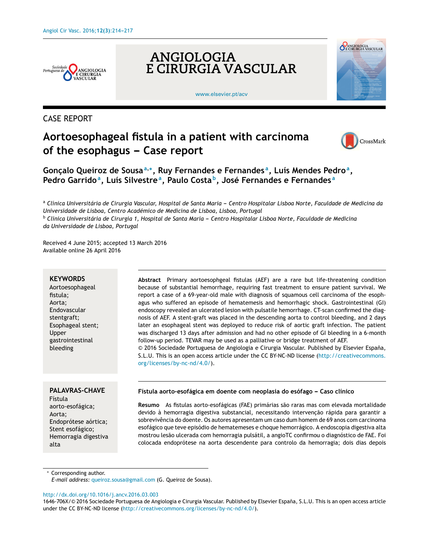



[www.elsevier.pt/acv](http://www.elsevier.pt/acv)



# CASE REPORT

# **Aortoesophageal fistula in a patient with carcinoma**  $of the esophagus - Case report$



**Gonc¸alo Queiroz de Sousa<sup>a</sup>**,<sup>∗</sup> **, Ruy Fernandes e Fernandes <sup>a</sup> , Luís Mendes Pedro<sup>a</sup> , Pedro Garrido<sup>a</sup> , Luís Silvestre<sup>a</sup> , Paulo Costa <sup>b</sup> , José Fernandes e Fernandes <sup>a</sup>**

a Clínica Universitária de Cirurgia Vascular, Hospital de Santa Maria - Centro Hospitalar Lisboa Norte, Faculdade de Medicina da *Universidade de Lisboa, Centro Académico de Medicina de Lisboa, Lisboa, Portugal*

<sup>b</sup> Clínica Universitária de Cirurgia 1, Hospital de Santa Maria - Centro Hospitalar Lisboa Norte, Faculdade de Medicina *da Universidade de Lisboa, Portugal*

Received 4 June 2015; accepted 13 March 2016 Available online 26 April 2016

#### **KEYWORDS**

Aortoesophageal fistula; Aorta; Endovascular stentgraft; Esophageal stent; Upper gastrointestinal bleeding

#### **PALAVRAS-CHAVE**

Fístula aorto-esofágica; Aorta; Endoprótese aórtica; Stent esofágico; Hemorragia digestiva alta

**Abstract** Primary aortoesophgeal fistulas (AEF) are a rare but life-threatening condition because of substantial hemorrhage, requiring fast treatment to ensure patient survival. We report a case of a 69-year-old male with diagnosis of squamous cell carcinoma of the esophagus who suffered an episode of hematemesis and hemorrhagic shock. Gastrointestinal (GI) endoscopy revealed an ulcerated lesion with pulsatile hemorrhage. CT-scan confirmed the diagnosis of AEF. A stent-graft was placed in the descending aorta to control bleeding, and 2 days later an esophageal stent was deployed to reduce risk of aortic graft infection. The patient was discharged 13 days after admission and had no other episode of GI bleeding in a 6-month follow-up period. TEVAR may be used as a palliative or bridge treatment of AEF. © 2016 Sociedade Portuguesa de Angiologia e Cirurgia Vascular. Published by Elsevier Espana, ˜

S.L.U. This is an open access article under the CC BY-NC-ND license ([http://creativecommons.](http://creativecommons.org/licenses/by-nc-nd/4.0/) [org/licenses/by-nc-nd/4.0/](http://creativecommons.org/licenses/by-nc-nd/4.0/)).

#### **Fístula aorto-esofágica em doente com neoplasia do esófago --- Caso clínico**

**Resumo** As fistulas aorto-esofágicas (FAE) primárias são raras mas com elevada mortalidade devido à hemorragia digestiva substancial, necessitando intervenção rápida para garantir a sobrevivência do doente. Os autores apresentam um caso dum homem de 69 anos com carcinoma esofágico que teve episódio de hematemeses e choque hemorrágico. A endoscopia digestiva alta mostrou lesão ulcerada com hemorragia pulsátil, a angioTC confirmou o diagnóstico de FAE. Foi colocada endoprótese na aorta descendente para controlo da hemorragia; dois dias depois

Corresponding author.

*E-mail address:* [queiroz.sousa@gmail.com](mailto:queiroz.sousa@gmail.com) (G. Queiroz de Sousa).

[http://dx.doi.org/10.1016/j.ancv.2016.03.003](dx.doi.org/10.1016/j.ancv.2016.03.003)

<sup>1646-706</sup>X/© 2016 Sociedade Portuguesa de Angiologia e Cirurgia Vascular. Published by Elsevier España, S.L.U. This is an open access article under the CC BY-NC-ND license [\(http://creativecommons.org/licenses/by-nc-nd/4.0/\)](http://creativecommons.org/licenses/by-nc-nd/4.0/).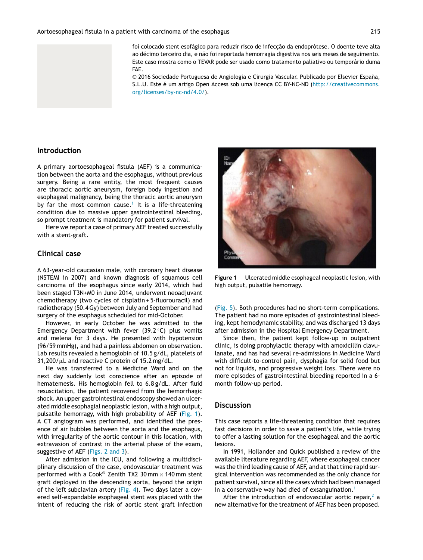

foi colocado stent esofágico para reduzir risco de infecção da endoprótese. O doente teve alta ao décimo terceiro dia, e não foi reportada hemorragia digestiva nos seis meses de seguimento. Este caso mostra como o TEVAR pode ser usado como tratamento paliativo ou temporário duma FAE.

© 2016 Sociedade Portuguesa de Angiologia e Cirurgia Vascular. Publicado por Elsevier Espana, ˜ S.L.U. Este é um artigo Open Access sob uma licenca CC BY-NC-ND [\(http://creativecommons.](http://creativecommons.org/licenses/by-nc-nd/4.0/) [org/licenses/by-nc-nd/4.0/\)](http://creativecommons.org/licenses/by-nc-nd/4.0/).

#### **Introduction**

A primary aortoesophageal fistula (AEF) is a communication between the aorta and the esophagus, without previous surgery. Being a rare entity, the most frequent causes are thoracic aortic aneurysm, foreign body ingestion and esophageal malignancy, being the thoracic aortic aneurysm by far the most common cause.<sup>[1](#page-3-0)</sup> It is a life-threatening condition due to massive upper gastrointestinal bleeding, so prompt treatment is mandatory for patient survival.

Here we report a case of primary AEF treated successfully with a stent-graft.

#### **Clinical case**

A 63-year-old caucasian male, with coronary heart disease (NSTEMI in 2007) and known diagnosis of squamous cell carcinoma of the esophagus since early 2014, which had been staged T3N+M0 in June 2014, underwent neoadjuvant chemotherapy (two cycles of cisplatin + 5-fluorouracil) and radiotherapy (50.4Gy) between July and September and had surgery of the esophagus scheduled for mid-October.

However, in early October he was admitted to the Emergency Department with fever  $(39.2 \degree C)$  plus vomits and melena for 3 days. He presented with hypotension (96/59 mmHg), and had a painless abdomen on observation. Lab results revealed a hemoglobin of 10.5 g/dL, platelets of  $31,200/\mu$ L and reactive C protein of 15.2 mg/dL.

He was transferred to a Medicine Ward and on the next day suddenly lost conscience after an episode of hematemesis. His hemoglobin fell to 6.8 g/dL. After fluid resuscitation, the patient recovered from the hemorrhagic shock. An upper gastrointestinal endoscopy showed an ulcerated middle esophagial neoplastic lesion, with a high output, pulsatile hemorragy, with high probability of AEF (Fig. 1). A CT angiogram was performed, and identified the presence of air bubbles between the aorta and the esophagus, with irregularity of the aortic contour in this location, with extravasion of contrast in the arterial phase of the exam, suggestive of AEF [\(Figs.](#page-2-0) 2 and 3).

After admission in the ICU, and following a multidisciplinary discussion of the case, endovascular treatment was performed with a Cook® Zenith TX2 30 mm  $\times$  140 mm stent graft deployed in the descending aorta, beyond the origin of the left subclavian artery [\(Fig.](#page-2-0) 4). Two days later a covered self-expandable esophageal stent was placed with the intent of reducing the risk of aortic stent graft infection



**Figure 1** Ulcerated middle esophageal neoplastic lesion, with high output, pulsatile hemorragy.

([Fig.](#page-2-0) 5). Both procedures had no short-term complications. The patient had no more episodes of gastrointestinal bleeding, kept hemodynamic stability, and was discharged 13 days after admission in the Hospital Emergency Department.

Since then, the patient kept follow-up in outpatient clinic, is doing prophylactic therapy with amoxicillin clavulanate, and has had several re-admissions in Medicine Ward with difficult-to-control pain, dysphagia for solid food but not for liquids, and progressive weight loss. There were no more episodes of gastrointestinal bleeding reported in a 6 month follow-up period.

#### **Discussion**

This case reports a life-threatening condition that requires fast decisions in order to save a patient's life, while trying to offer a lasting solution for the esophageal and the aortic lesions.

In 1991, Hollander and Quick published a review of the available literature regarding AEF, where esophageal cancer was the third leading cause of AEF, and at that time rapid surgical intervention was recommended as the only chance for patient survival, since all the cases which had been managed in a conservative way had died of exsanguination.<sup>[1](#page-3-0)</sup>

After the introduction of endovascular aortic repair,  $2a$  $2a$ new alternative for the treatment of AEF has been proposed.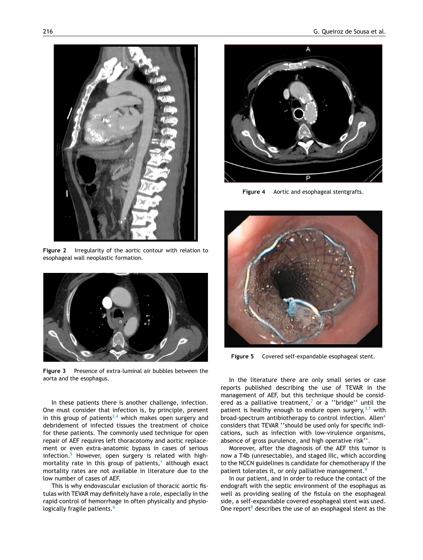<span id="page-2-0"></span>

**Figure 2** Irregularity of the aortic contour with relation to esophageal wall neoplastic formation.



**Figure 3** Presence of extra-luminal air bubbles between the aorta and the esophagus.

In these patients there is another challenge, infection. One must consider that infection is, by principle, present in this group of patients $3,4$  which makes open surgery and debridement of infected tissues the treatment of choice for these patients. The commonly used technique for open repair of AEF requires left thoracotomy and aortic replacement or even extra-anatomic bypass in cases of serious infection.<sup>[5](#page-3-0)</sup> However, open surgery is related with high-mortality rate in this group of patients,<sup>[1](#page-3-0)</sup> although exact mortality rates are not available in literature due to the low number of cases of AEF.

This is why endovascular exclusion of thoracic aortic fistulas with TEVAR may definitely have a role, especially in the rapid control of hemorrhage in often physically and physio-logically fragile patients.<sup>[6](#page-3-0)</sup>



**Figure 4** Aortic and esophageal stentgrafts.



**Figure 5** Covered self-expandable esophageal stent.

In the literature there are only small series or case reports published describing the use of TEVAR in the management of AEF, but this technique should be consid-ered as a palliative treatment,<sup>[7](#page-3-0)</sup> or a "bridge" until the patient is healthy enough to endure open surgery,  $3,7$  with broad-spectrum antibiotherapy to control infection. Allen[4](#page-3-0) considers that TEVAR ''should be used only for specific indications, such as infection with low-virulence organisms, absence of gross purulence, and high operative risk''.

Moreover, after the diagnosis of the AEF this tumor is now a T4b (unresectable), and staged IIIc, which according to the NCCN guidelines is candidate for chemotherapy if the patient tolerates it, or only palliative management.<sup>[9](#page-3-0)</sup>

In our patient, and in order to reduce the contact of the endograft with the septic environment of the esophagus as well as providing sealing of the fistula on the esophageal side, a self-expandable covered esophageal stent was used. One report<sup>8</sup> [d](#page-3-0)escribes the use of an esophageal stent as the